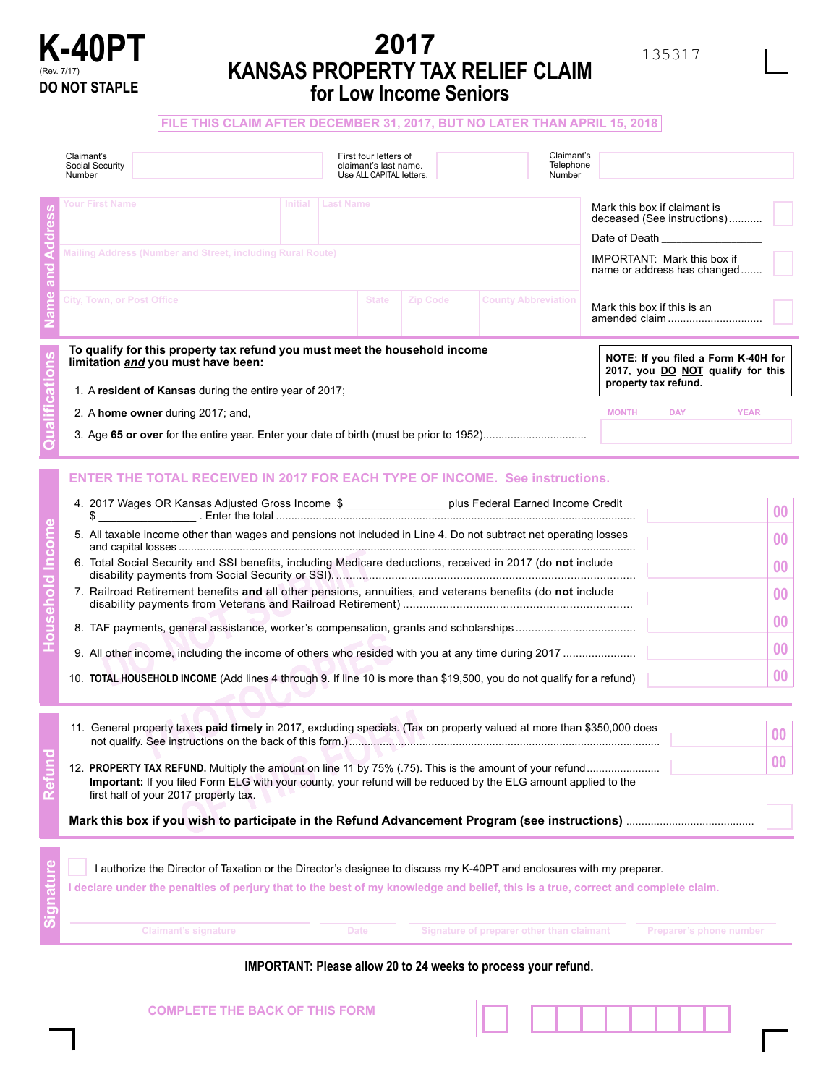

# **2017 KANSAS PROPERTY TAX RELIEF CLAIM for Low Income Seniors**

**FILE THIS CLAIM AFTER DECEMBER 31, 2017, BUT NO LATER THAN APRIL 15, 2018**

| Claimant's<br>Social Security<br>Number                                                                                                                                                                                                                                                                                                                                                                                                                                                                                                                                                                                                                                 |  | First four letters of<br>claimant's last name.<br>Use ALL CAPITAL letters. |  |                                           | Claimant's<br>Telephone<br>Number                                                                                                                                      |                                      |                         |                                                                                         |
|-------------------------------------------------------------------------------------------------------------------------------------------------------------------------------------------------------------------------------------------------------------------------------------------------------------------------------------------------------------------------------------------------------------------------------------------------------------------------------------------------------------------------------------------------------------------------------------------------------------------------------------------------------------------------|--|----------------------------------------------------------------------------|--|-------------------------------------------|------------------------------------------------------------------------------------------------------------------------------------------------------------------------|--------------------------------------|-------------------------|-----------------------------------------------------------------------------------------|
| Your First Name<br>Initial Last Name<br>Mailing Address (Number and Street, including Rural Route)                                                                                                                                                                                                                                                                                                                                                                                                                                                                                                                                                                      |  |                                                                            |  |                                           | Mark this box if claimant is<br>deceased (See instructions)<br>Date of Death <b>Date of Death</b><br><b>IMPORTANT: Mark this box if</b><br>name or address has changed |                                      |                         |                                                                                         |
| <b>City, Town, or Post Office</b><br><b>County Abbreviation</b><br><b>State</b><br><b>Zip Code</b>                                                                                                                                                                                                                                                                                                                                                                                                                                                                                                                                                                      |  |                                                                            |  |                                           | Mark this box if this is an<br>amended claim                                                                                                                           |                                      |                         |                                                                                         |
| To qualify for this property tax refund you must meet the household income<br>limitation and you must have been:<br>1. A resident of Kansas during the entire year of 2017;<br>2. A home owner during 2017; and,                                                                                                                                                                                                                                                                                                                                                                                                                                                        |  |                                                                            |  |                                           |                                                                                                                                                                        | property tax refund.<br><b>MONTH</b> | <b>DAY</b>              | NOTE: If you filed a Form K-40H for<br>2017, you DO NOT qualify for this<br><b>YEAR</b> |
| <b>ENTER THE TOTAL RECEIVED IN 2017 FOR EACH TYPE OF INCOME. See instructions.</b><br>4. 2017 Wages OR Kansas Adjusted Gross Income \$ _________________ plus Federal Earned Income Credit<br>\$<br>5. All taxable income other than wages and pensions not included in Line 4. Do not subtract net operating losses<br>6. Total Social Security and SSI benefits, including Medicare deductions, received in 2017 (do not include<br>7. Railroad Retirement benefits and all other pensions, annuities, and veterans benefits (do not include<br>10. TOTAL HOUSEHOLD INCOME (Add lines 4 through 9. If line 10 is more than \$19,500, you do not qualify for a refund) |  |                                                                            |  |                                           |                                                                                                                                                                        |                                      |                         | $00\,$<br>00<br>00<br>00<br>00<br>00<br>00                                              |
| 11. General property taxes paid timely in 2017, excluding specials. (Tax on property valued at more than \$350,000 does<br>Important: If you filed Form ELG with your county, your refund will be reduced by the ELG amount applied to the<br>first half of your 2017 property tax.                                                                                                                                                                                                                                                                                                                                                                                     |  |                                                                            |  |                                           |                                                                                                                                                                        |                                      |                         | 00<br>00                                                                                |
| I authorize the Director of Taxation or the Director's designee to discuss my K-40PT and enclosures with my preparer.<br>I declare under the penalties of perjury that to the best of my knowledge and belief, this is a true, correct and complete claim.<br><b>Claimant's signature</b>                                                                                                                                                                                                                                                                                                                                                                               |  | Date                                                                       |  | Signature of preparer other than claimant |                                                                                                                                                                        |                                      | Preparer's phone number |                                                                                         |

### **IMPORTANT: Please allow 20 to 24 weeks to process your refund.**

| <b>COMPLETE THE BACK OF THIS FORM</b> |  |  |  |
|---------------------------------------|--|--|--|
|                                       |  |  |  |